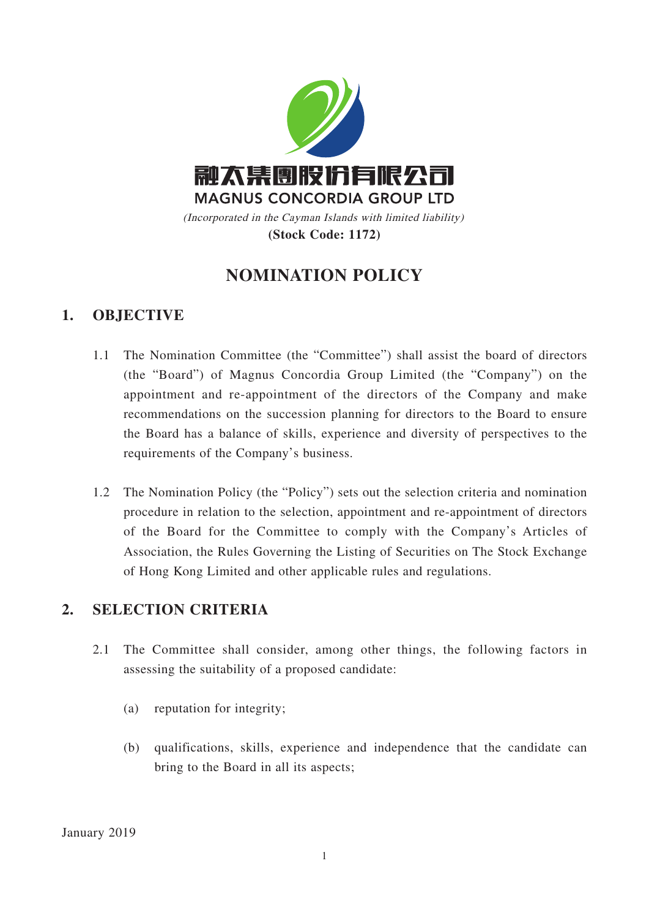

# **NOMINATION POLICY**

#### **1. OBJECTIVE**

- 1.1 The Nomination Committee (the "Committee") shall assist the board of directors (the "Board") of Magnus Concordia Group Limited (the "Company") on the appointment and re-appointment of the directors of the Company and make recommendations on the succession planning for directors to the Board to ensure the Board has a balance of skills, experience and diversity of perspectives to the requirements of the Company's business.
- 1.2 The Nomination Policy (the "Policy") sets out the selection criteria and nomination procedure in relation to the selection, appointment and re-appointment of directors of the Board for the Committee to comply with the Company's Articles of Association, the Rules Governing the Listing of Securities on The Stock Exchange of Hong Kong Limited and other applicable rules and regulations.

#### **2. SELECTION CRITERIA**

- 2.1 The Committee shall consider, among other things, the following factors in assessing the suitability of a proposed candidate:
	- (a) reputation for integrity;
	- (b) qualifications, skills, experience and independence that the candidate can bring to the Board in all its aspects;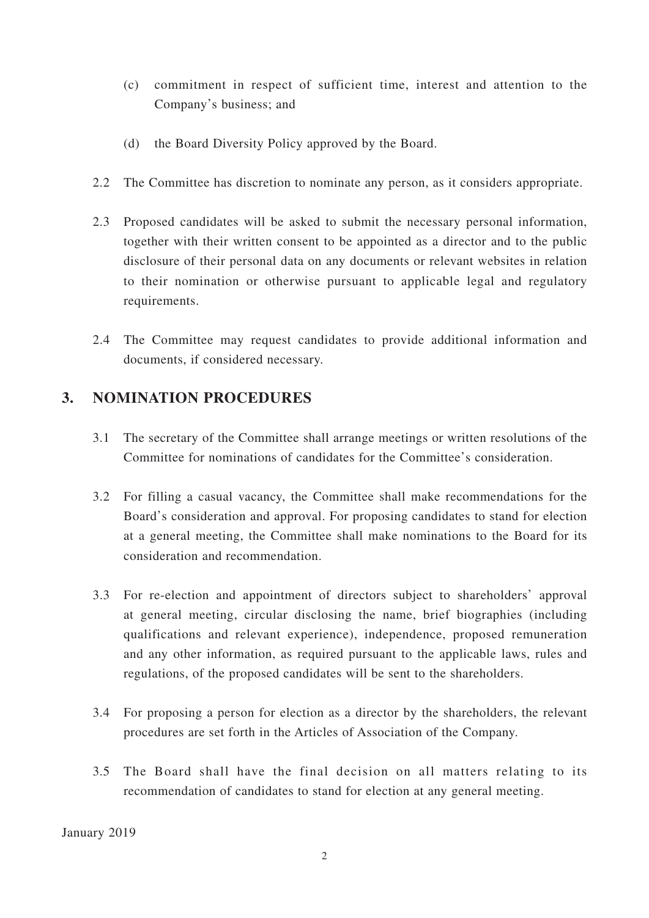- (c) commitment in respect of sufficient time, interest and attention to the Company's business; and
- (d) the Board Diversity Policy approved by the Board.
- 2.2 The Committee has discretion to nominate any person, as it considers appropriate.
- 2.3 Proposed candidates will be asked to submit the necessary personal information, together with their written consent to be appointed as a director and to the public disclosure of their personal data on any documents or relevant websites in relation to their nomination or otherwise pursuant to applicable legal and regulatory requirements.
- 2.4 The Committee may request candidates to provide additional information and documents, if considered necessary.

### **3. NOMINATION PROCEDURES**

- 3.1 The secretary of the Committee shall arrange meetings or written resolutions of the Committee for nominations of candidates for the Committee's consideration.
- 3.2 For filling a casual vacancy, the Committee shall make recommendations for the Board's consideration and approval. For proposing candidates to stand for election at a general meeting, the Committee shall make nominations to the Board for its consideration and recommendation.
- 3.3 For re-election and appointment of directors subject to shareholders' approval at general meeting, circular disclosing the name, brief biographies (including qualifications and relevant experience), independence, proposed remuneration and any other information, as required pursuant to the applicable laws, rules and regulations, of the proposed candidates will be sent to the shareholders.
- 3.4 For proposing a person for election as a director by the shareholders, the relevant procedures are set forth in the Articles of Association of the Company.
- 3.5 The Board shall have the final decision on all matters relating to its recommendation of candidates to stand for election at any general meeting.

January 2019